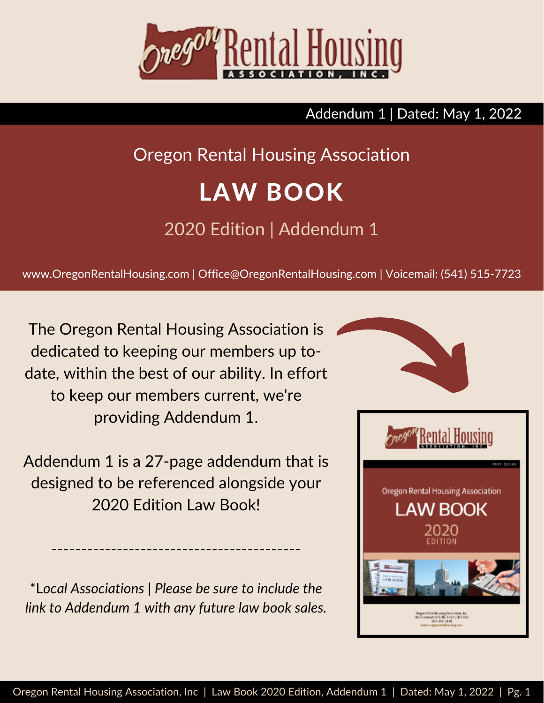

#### Addendum 1 | Dated: May 1, 2022

# Oregon Rental Housing Association

# LAW BOOK

# 2020 Edition | Addendum 1

www.OregonRentalHousing.com | Office@OregonRentalHousing.com | Voicemail: (541) 515-7723

The Oregon Rental Housing Association is dedicated to keeping our members up todate, within the best of our ability. In effort to keep our members current, we're providing Addendum 1.

Addendum 1 is a 27-page addendum that is designed to be referenced alongside your 2020 Edition Law Book!

\*L*ocal Associations | Please be sure to include the link to Addendum 1 with any future law book sales.*

------------------------------------------

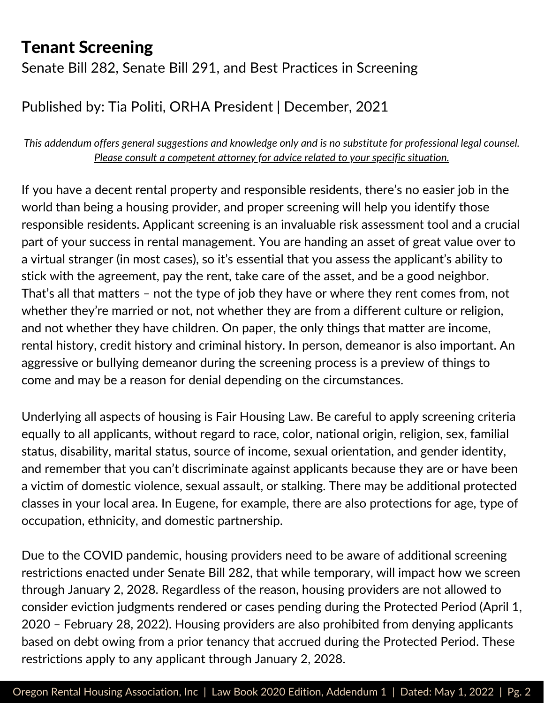Senate Bill 282, Senate Bill 291, and Best Practices in Screening

#### Published by: Tia Politi, ORHA President | December, 2021

*This addendum offers general suggestions and knowledge only and is no substitute for professional legal counsel. Please consult a competent attorney for advice related to your specific situation.*

If you have a decent rental property and responsible residents, there's no easier job in the world than being a housing provider, and proper screening will help you identify those responsible residents. Applicant screening is an invaluable risk assessment tool and a crucial part of your success in rental management. You are handing an asset of great value over to a virtual stranger (in most cases), so it's essential that you assess the applicant's ability to stick with the agreement, pay the rent, take care of the asset, and be a good neighbor. That's all that matters – not the type of job they have or where they rent comes from, not whether they're married or not, not whether they are from a different culture or religion, and not whether they have children. On paper, the only things that matter are income, rental history, credit history and criminal history. In person, demeanor is also important. An aggressive or bullying demeanor during the screening process is a preview of things to come and may be a reason for denial depending on the circumstances.

Underlying all aspects of housing is Fair Housing Law. Be careful to apply screening criteria equally to all applicants, without regard to race, color, national origin, religion, sex, familial status, disability, marital status, source of income, sexual orientation, and gender identity, and remember that you can't discriminate against applicants because they are or have been a victim of domestic violence, sexual assault, or stalking. There may be additional protected classes in your local area. In Eugene, for example, there are also protections for age, type of occupation, ethnicity, and domestic partnership.

Due to the COVID pandemic, housing providers need to be aware of additional screening restrictions enacted under Senate Bill 282, that while temporary, will impact how we screen through January 2, 2028. Regardless of the reason, housing providers are not allowed to consider eviction judgments rendered or cases pending during the Protected Period (April 1, 2020 – February 28, 2022). Housing providers are also prohibited from denying applicants based on debt owing from a prior tenancy that accrued during the Protected Period. These restrictions apply to any applicant through January 2, 2028.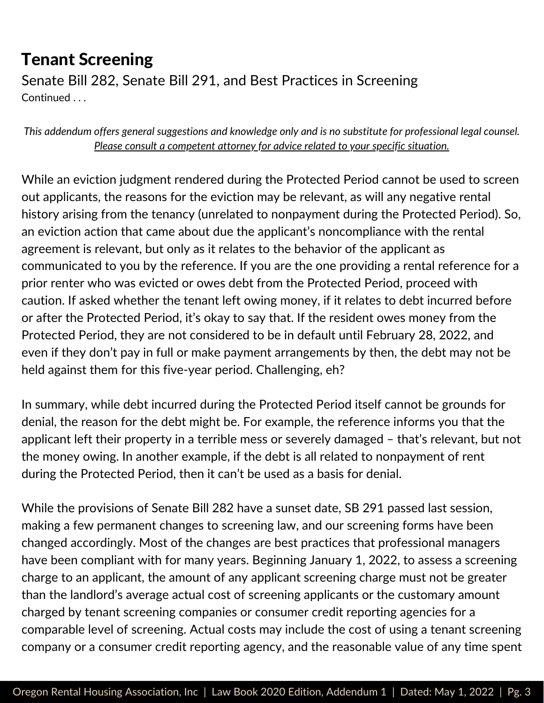Senate Bill 282, Senate Bill 291, and Best Practices in Screening Continued . . .

*This addendum offers general suggestions and knowledge only and is no substitute for professional legal counsel. Please consult a competent attorney for advice related to your specific situation.*

While an eviction judgment rendered during the Protected Period cannot be used to screen out applicants, the reasons for the eviction may be relevant, as will any negative rental history arising from the tenancy (unrelated to nonpayment during the Protected Period). So, an eviction action that came about due the applicant's noncompliance with the rental agreement is relevant, but only as it relates to the behavior of the applicant as communicated to you by the reference. If you are the one providing a rental reference for a prior renter who was evicted or owes debt from the Protected Period, proceed with caution. If asked whether the tenant left owing money, if it relates to debt incurred before or after the Protected Period, it's okay to say that. If the resident owes money from the Protected Period, they are not considered to be in default until February 28, 2022, and even if they don't pay in full or make payment arrangements by then, the debt may not be held against them for this five-year period. Challenging, eh?

In summary, while debt incurred during the Protected Period itself cannot be grounds for denial, the reason for the debt might be. For example, the reference informs you that the applicant left their property in a terrible mess or severely damaged – that's relevant, but not the money owing. In another example, if the debt is all related to nonpayment of rent during the Protected Period, then it can't be used as a basis for denial.

While the provisions of Senate Bill 282 have a sunset date, SB 291 passed last session, making a few permanent changes to screening law, and our screening forms have been changed accordingly. Most of the changes are best practices that professional managers have been compliant with for many years. Beginning January 1, 2022, to assess a screening charge to an applicant, the amount of any applicant screening charge must not be greater than the landlord's average actual cost of screening applicants or the customary amount charged by tenant screening companies or consumer credit reporting agencies for a comparable level of screening. Actual costs may include the cost of using a tenant screening company or a consumer credit reporting agency, and the reasonable value of any time spent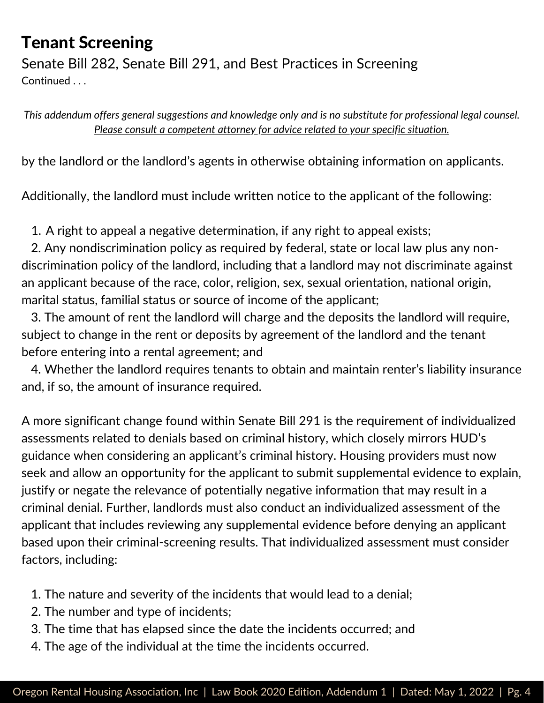Senate Bill 282, Senate Bill 291, and Best Practices in Screening Continued ...

*This addendum offers general suggestions and knowledge only and is no substitute for professional legal counsel. Please consult a competent attorney for advice related to your specific situation.*

by the landlord or the landlord's agents in otherwise obtaining information on applicants.

Additionally, the landlord must include written notice to the applicant of the following:

A right to appeal a negative determination, if any right to appeal exists; 1.

2. Any nondiscrimination policy as required by federal, state or local law plus any nondiscrimination policy of the landlord, including that a landlord may not discriminate against an applicant because of the race, color, religion, sex, sexual orientation, national origin, marital status, familial status or source of income of the applicant;

3. The amount of rent the landlord will charge and the deposits the landlord will require, subject to change in the rent or deposits by agreement of the landlord and the tenant before entering into a rental agreement; and

4. Whether the landlord requires tenants to obtain and maintain renter's liability insurance and, if so, the amount of insurance required.

A more significant change found within Senate Bill 291 is the requirement of individualized assessments related to denials based on criminal history, which closely mirrors HUD's guidance when considering an applicant's criminal history. Housing providers must now seek and allow an opportunity for the applicant to submit supplemental evidence to explain, justify or negate the relevance of potentially negative information that may result in a criminal denial. Further, landlords must also conduct an individualized assessment of the applicant that includes reviewing any supplemental evidence before denying an applicant based upon their criminal-screening results. That individualized assessment must consider factors, including:

- 1. The nature and severity of the incidents that would lead to a denial;
- 2. The number and type of incidents;
- 3. The time that has elapsed since the date the incidents occurred; and
- 4. The age of the individual at the time the incidents occurred.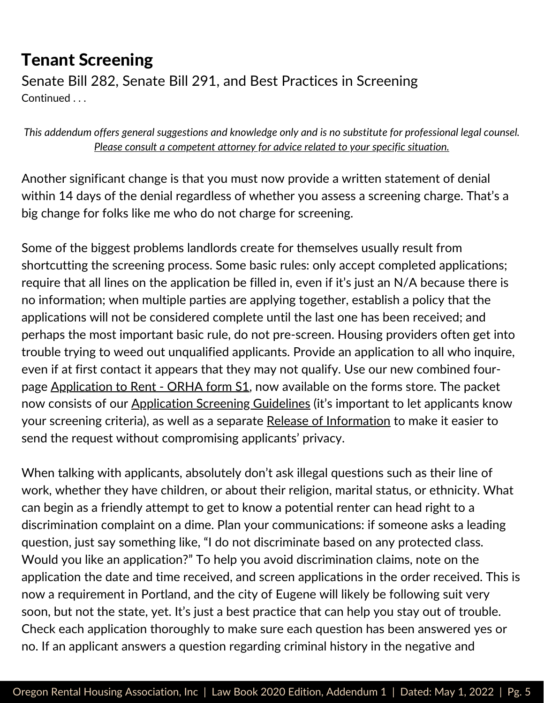Senate Bill 282, Senate Bill 291, and Best Practices in Screening Continued . . .

*This addendum offers general suggestions and knowledge only and is no substitute for professional legal counsel. Please consult a competent attorney for advice related to your specific situation.*

Another significant change is that you must now provide a written statement of denial within 14 days of the denial regardless of whether you assess a screening charge. That's a big change for folks like me who do not charge for screening.

Some of the biggest problems landlords create for themselves usually result from shortcutting the screening process. Some basic rules: only accept completed applications; require that all lines on the application be filled in, even if it's just an N/A because there is no information; when multiple parties are applying together, establish a policy that the applications will not be considered complete until the last one has been received; and perhaps the most important basic rule, do not pre-screen. Housing providers often get into trouble trying to weed out unqualified applicants. Provide an application to all who inquire, even if at first contact it appears that they may not qualify. Use our new combined four-page <u>[Application](https://store.oregonrentalhousing.com/) to Rent - ORHA form S1</u>, now available on the forms store. The packet now consists of our [Application](https://store.oregonrentalhousing.com/) Screening Guidelines (it's important to let applicants know your screening criteria), as well as a separate Release of [Information](https://store.oregonrentalhousing.com/) to make it easier to send the request without compromising applicants' privacy.

When talking with applicants, absolutely don't ask illegal questions such as their line of work, whether they have children, or about their religion, marital status, or ethnicity. What can begin as a friendly attempt to get to know a potential renter can head right to a discrimination complaint on a dime. Plan your communications: if someone asks a leading question, just say something like, "I do not discriminate based on any protected class. Would you like an application?" To help you avoid discrimination claims, note on the application the date and time received, and screen applications in the order received. This is now a requirement in Portland, and the city of Eugene will likely be following suit very soon, but not the state, yet. It's just a best practice that can help you stay out of trouble. Check each application thoroughly to make sure each question has been answered yes or no. If an applicant answers a question regarding criminal history in the negative and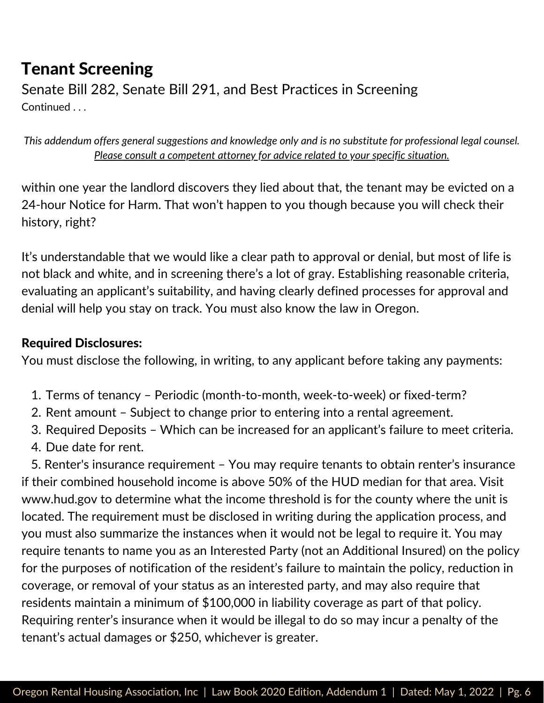Senate Bill 282, Senate Bill 291, and Best Practices in Screening Continued . . .

*This addendum offers general suggestions and knowledge only and is no substitute for professional legal counsel. Please consult a competent attorney for advice related to your specific situation.*

within one year the landlord discovers they lied about that, the tenant may be evicted on a 24-hour Notice for Harm. That won't happen to you though because you will check their history, right?

It's understandable that we would like a clear path to approval or denial, but most of life is not black and white, and in screening there's a lot of gray. Establishing reasonable criteria, evaluating an applicant's suitability, and having clearly defined processes for approval and denial will help you stay on track. You must also know the law in Oregon.

#### Required Disclosures:

You must disclose the following, in writing, to any applicant before taking any payments:

- 1. Terms of tenancy Periodic (month-to-month, week-to-week) or fixed-term?
- 2. Rent amount Subject to change prior to entering into a rental agreement.
- 3. Required Deposits Which can be increased for an applicant's failure to meet criteria.
- 4. Due date for rent.

5. Renter's insurance requirement – You may require tenants to obtain renter's insurance if their combined household income is above 50% of the HUD median for that area. Visit [www.hud.gov](http://www.hud.gov/) to determine what the income threshold is for the county where the unit is located. The requirement must be disclosed in writing during the application process, and you must also summarize the instances when it would not be legal to require it. You may require tenants to name you as an Interested Party (not an Additional Insured) on the policy for the purposes of notification of the resident's failure to maintain the policy, reduction in coverage, or removal of your status as an interested party, and may also require that residents maintain a minimum of \$100,000 in liability coverage as part of that policy. Requiring renter's insurance when it would be illegal to do so may incur a penalty of the tenant's actual damages or \$250, whichever is greater.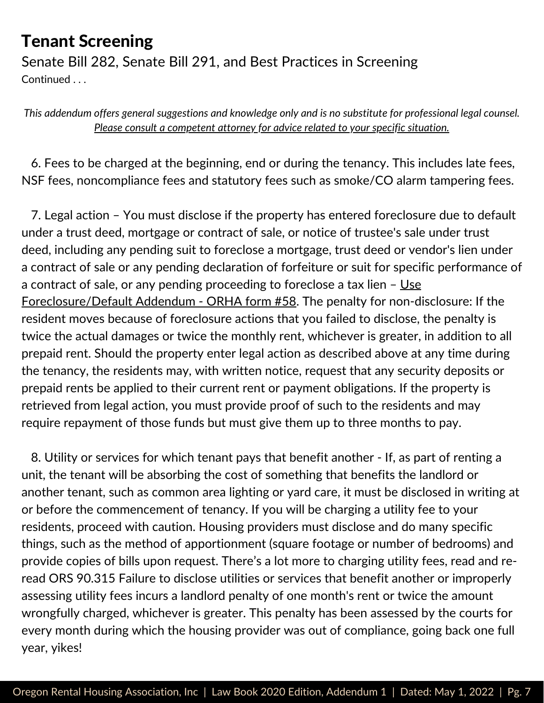Senate Bill 282, Senate Bill 291, and Best Practices in Screening Continued . . .

*This addendum offers general suggestions and knowledge only and is no substitute for professional legal counsel. Please consult a competent attorney for advice related to your specific situation.*

6. Fees to be charged at the beginning, end or during the tenancy. This includes late fees, NSF fees, noncompliance fees and statutory fees such as smoke/CO alarm tampering fees.

7. Legal action – You must disclose if the property has entered foreclosure due to default under a trust deed, mortgage or contract of sale, or notice of trustee's sale under trust deed, including any pending suit to foreclose a mortgage, trust deed or vendor's lien under a contract of sale or any pending declaration of forfeiture or suit for specific performance of a contract of sale, or any pending proceeding to foreclose a tax lien  $-$  Use [Foreclosure/Default](https://store.oregonrentalhousing.com/) Addendum - ORHA form #58. The penalty for non-disclosure: If the resident moves because of foreclosure actions that you failed to disclose, the penalty is twice the actual damages or twice the monthly rent, whichever is greater, in addition to all prepaid rent. Should the property enter legal action as described above at any time during the tenancy, the residents may, with written notice, request that any security deposits or prepaid rents be applied to their current rent or payment obligations. If the property is retrieved from legal action, you must provide proof of such to the residents and may require repayment of those funds but must give them up to three months to pay.

8. Utility or services for which tenant pays that benefit another - If, as part of renting a unit, the tenant will be absorbing the cost of something that benefits the landlord or another tenant, such as common area lighting or yard care, it must be disclosed in writing at or before the commencement of tenancy. If you will be charging a utility fee to your residents, proceed with caution. Housing providers must disclose and do many specific things, such as the method of apportionment (square footage or number of bedrooms) and provide copies of bills upon request. There's a lot more to charging utility fees, read and reread ORS 90.315 Failure to disclose utilities or services that benefit another or improperly assessing utility fees incurs a landlord penalty of one month's rent or twice the amount wrongfully charged, whichever is greater. This penalty has been assessed by the courts for every month during which the housing provider was out of compliance, going back one full year, yikes!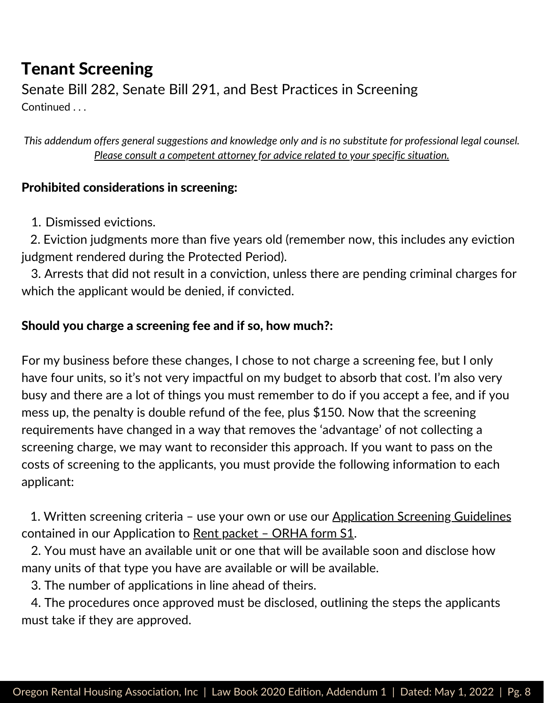Senate Bill 282, Senate Bill 291, and Best Practices in Screening Continued . . .

*This addendum offers general suggestions and knowledge only and is no substitute for professional legal counsel. Please consult a competent attorney for advice related to your specific situation.*

#### Prohibited considerations in screening:

1. Dismissed evictions.

2. Eviction judgments more than five years old (remember now, this includes any eviction judgment rendered during the Protected Period).

3. Arrests that did not result in a conviction, unless there are pending criminal charges for which the applicant would be denied, if convicted.

#### Should you charge a screening fee and if so, how much?:

For my business before these changes, I chose to not charge a screening fee, but I only have four units, so it's not very impactful on my budget to absorb that cost. I'm also very busy and there are a lot of things you must remember to do if you accept a fee, and if you mess up, the penalty is double refund of the fee, plus \$150. Now that the screening requirements have changed in a way that removes the 'advantage' of not collecting a screening charge, we may want to reconsider this approach. If you want to pass on the costs of screening to the applicants, you must provide the following information to each applicant:

1. Written screening criteria - use your own or use our [Application](https://store.oregonrentalhousing.com/) Screening Guidelines contained in our [Application](https://store.oregonrentalhousing.com/) to Rent [packet](https://store.oregonrentalhousing.com/) - ORHA form S1.

2. You must have an available unit or one that will be available soon and disclose how many units of that type you have are available or will be available.

3. The number of applications in line ahead of theirs.

4. The procedures once approved must be disclosed, outlining the steps the applicants must take if they are approved.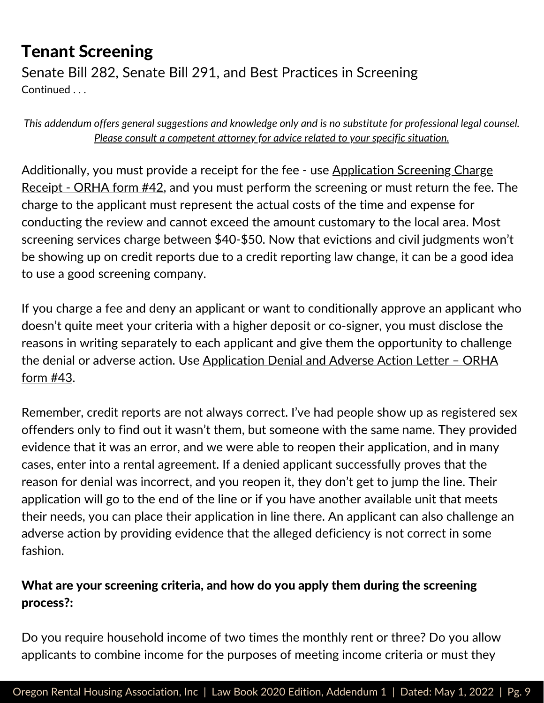Senate Bill 282, Senate Bill 291, and Best Practices in Screening Continued . . .

*This addendum offers general suggestions and knowledge only and is no substitute for professional legal counsel. Please consult a competent attorney for advice related to your specific situation.*

[Additionally,](https://store.oregonrentalhousing.com/) you must provide a receipt for the fee - use **Application Screening Charge** Receipt - ORHA form #42, and you must perform the screening or must return the fee. The charge to the applicant must represent the actual costs of the time and expense for conducting the review and cannot exceed the amount customary to the local area. Most screening services charge between \$40-\$50. Now that evictions and civil judgments won't be showing up on credit reports due to a credit reporting law change, it can be a good idea to use a good screening company.

If you charge a fee and deny an applicant or want to conditionally approve an applicant who doesn't quite meet your criteria with a higher deposit or co-signer, you must disclose the reasons in writing separately to each applicant and give them the opportunity to challenge the denial or adverse action. Use [Application](https://store.oregonrentalhousing.com/) Denial and Adverse Action Letter - ORHA form #43.

Remember, credit reports are not always correct. I've had people show up as registered sex offenders only to find out it wasn't them, but someone with the same name. They provided evidence that it was an error, and we were able to reopen their application, and in many cases, enter into a rental agreement. If a denied applicant successfully proves that the reason for denial was incorrect, and you reopen it, they don't get to jump the line. Their application will go to the end of the line or if you have another available unit that meets their needs, you can place their application in line there. An applicant can also challenge an adverse action by providing evidence that the alleged deficiency is not correct in some fashion.

#### What are your screening criteria, and how do you apply them during the screening process?:

Do you require household income of two times the monthly rent or three? Do you allow applicants to combine income for the purposes of meeting income criteria or must they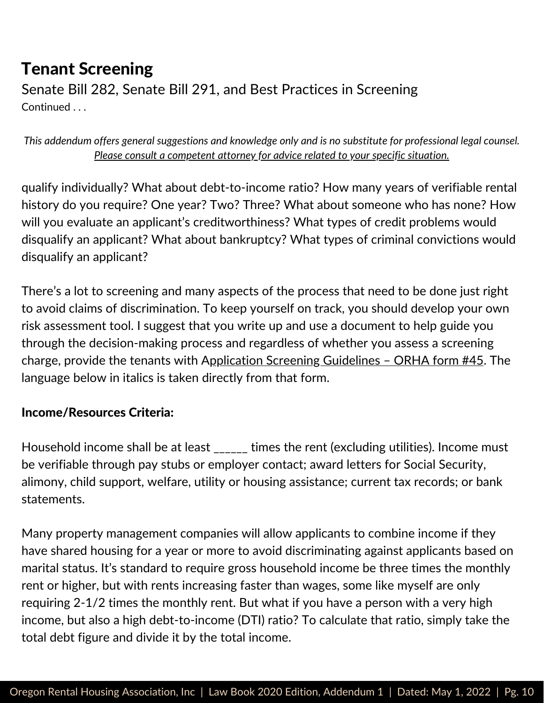Senate Bill 282, Senate Bill 291, and Best Practices in Screening Continued . . .

*This addendum offers general suggestions and knowledge only and is no substitute for professional legal counsel. Please consult a competent attorney for advice related to your specific situation.*

qualify individually? What about debt-to-income ratio? How many years of verifiable rental history do you require? One year? Two? Three? What about someone who has none? How will you evaluate an applicant's creditworthiness? What types of credit problems would disqualify an applicant? What about bankruptcy? What types of criminal convictions would disqualify an applicant?

There's a lot to screening and many aspects of the process that need to be done just right to avoid claims of discrimination. To keep yourself on track, you should develop your own risk assessment tool. I suggest that you write up and use a document to help guide you through the decision-making process and regardless of whether you assess a screening charge, provide the tenants with [A](https://store.oregonrentalhousing.com/)pplication Screening [Guidelines](https://store.oregonrentalhousing.com/) - ORHA form #45. The language below in italics is taken directly from that form.

#### Income/Resources Criteria:

Household income shall be at least \_\_\_\_\_\_ times the rent (excluding utilities). Income must be verifiable through pay stubs or employer contact; award letters for Social Security, alimony, child support, welfare, utility or housing assistance; current tax records; or bank statements.

Many property management companies will allow applicants to combine income if they have shared housing for a year or more to avoid discriminating against applicants based on marital status. It's standard to require gross household income be three times the monthly rent or higher, but with rents increasing faster than wages, some like myself are only requiring 2-1/2 times the monthly rent. But what if you have a person with a very high income, but also a high debt-to-income (DTI) ratio? To calculate that ratio, simply take the total debt figure and divide it by the total income.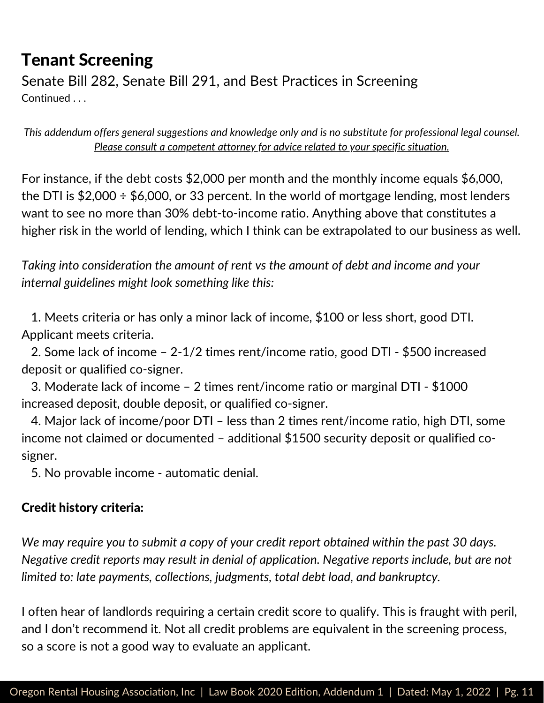Senate Bill 282, Senate Bill 291, and Best Practices in Screening Continued . . .

*This addendum offers general suggestions and knowledge only and is no substitute for professional legal counsel. Please consult a competent attorney for advice related to your specific situation.*

For instance, if the debt costs \$2,000 per month and the monthly income equals \$6,000, the DTI is  $$2,000 \div $6,000$ , or 33 percent. In the world of mortgage lending, most lenders want to see no more than 30% debt-to-income ratio. Anything above that constitutes a higher risk in the world of lending, which I think can be extrapolated to our business as well.

*Taking into consideration the amount of rent vs the amount of debt and income and your internal guidelines might look something like this:*

1. Meets criteria or has only a minor lack of income, \$100 or less short, good DTI. Applicant meets criteria.

2. Some lack of income – 2-1/2 times rent/income ratio, good DTI - \$500 increased deposit or qualified co-signer.

3. Moderate lack of income – 2 times rent/income ratio or marginal DTI - \$1000 increased deposit, double deposit, or qualified co-signer.

4. Major lack of income/poor DTI – less than 2 times rent/income ratio, high DTI, some income not claimed or documented – additional \$1500 security deposit or qualified cosigner.

5. No provable income - automatic denial.

#### Credit history criteria:

*We may require you to submit a copy of your credit report obtained within the past 30 days. Negative credit reports may result in denial of application. Negative reports include, but are not limited to: late payments, collections, judgments, total debt load, and bankruptcy.*

I often hear of landlords requiring a certain credit score to qualify. This is fraught with peril, and I don't recommend it. Not all credit problems are equivalent in the screening process, so a score is not a good way to evaluate an applicant.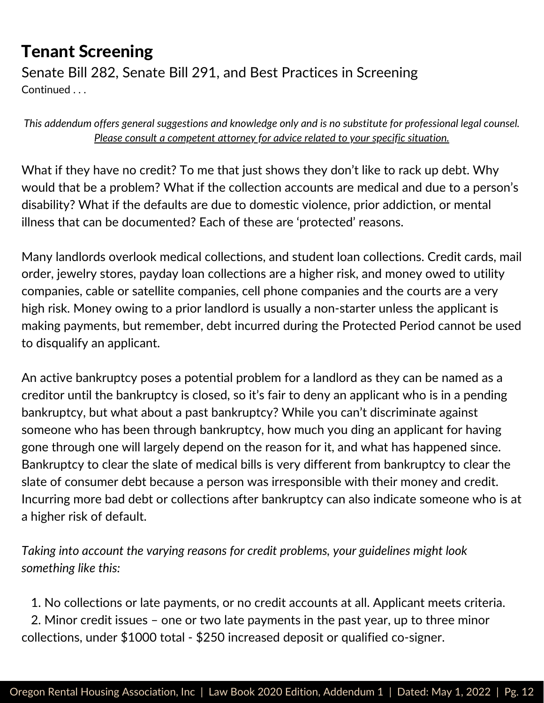Senate Bill 282, Senate Bill 291, and Best Practices in Screening Continued . . .

*This addendum offers general suggestions and knowledge only and is no substitute for professional legal counsel. Please consult a competent attorney for advice related to your specific situation.*

What if they have no credit? To me that just shows they don't like to rack up debt. Why would that be a problem? What if the collection accounts are medical and due to a person's disability? What if the defaults are due to domestic violence, prior addiction, or mental illness that can be documented? Each of these are 'protected' reasons.

Many landlords overlook medical collections, and student loan collections. Credit cards, mail order, jewelry stores, payday loan collections are a higher risk, and money owed to utility companies, cable or satellite companies, cell phone companies and the courts are a very high risk. Money owing to a prior landlord is usually a non-starter unless the applicant is making payments, but remember, debt incurred during the Protected Period cannot be used to disqualify an applicant.

An active bankruptcy poses a potential problem for a landlord as they can be named as a creditor until the bankruptcy is closed, so it's fair to deny an applicant who is in a pending bankruptcy, but what about a past bankruptcy? While you can't discriminate against someone who has been through bankruptcy, how much you ding an applicant for having gone through one will largely depend on the reason for it, and what has happened since. Bankruptcy to clear the slate of medical bills is very different from bankruptcy to clear the slate of consumer debt because a person was irresponsible with their money and credit. Incurring more bad debt or collections after bankruptcy can also indicate someone who is at a higher risk of default.

*Taking into account the varying reasons for credit problems, your guidelines might look something like this:*

1. No collections or late payments, or no credit accounts at all. Applicant meets criteria. 2. Minor credit issues – one or two late payments in the past year, up to three minor collections, under \$1000 total - \$250 increased deposit or qualified co-signer.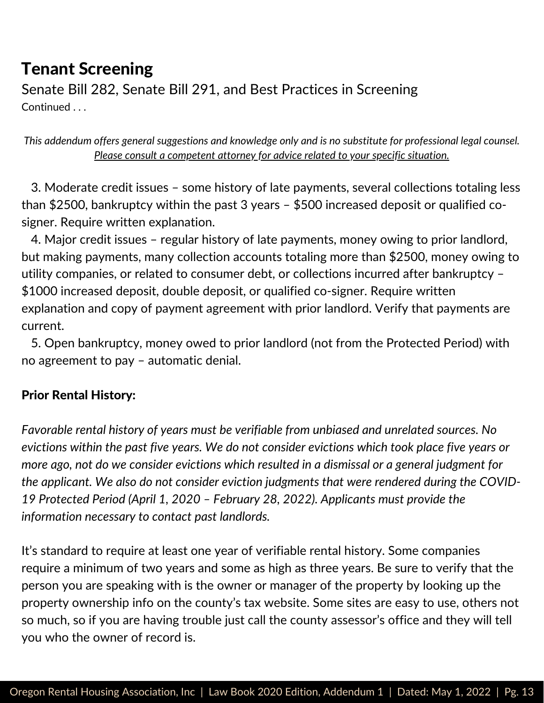Senate Bill 282, Senate Bill 291, and Best Practices in Screening Continued . . .

*This addendum offers general suggestions and knowledge only and is no substitute for professional legal counsel. Please consult a competent attorney for advice related to your specific situation.*

3. Moderate credit issues – some history of late payments, several collections totaling less than \$2500, bankruptcy within the past 3 years – \$500 increased deposit or qualified cosigner. Require written explanation.

4. Major credit issues – regular history of late payments, money owing to prior landlord, but making payments, many collection accounts totaling more than \$2500, money owing to utility companies, or related to consumer debt, or collections incurred after bankruptcy – \$1000 increased deposit, double deposit, or qualified co-signer. Require written explanation and copy of payment agreement with prior landlord. Verify that payments are current.

5. Open bankruptcy, money owed to prior landlord (not from the Protected Period) with no agreement to pay – automatic denial.

#### Prior Rental History:

*Favorable rental history of years must be verifiable from unbiased and unrelated sources. No evictions within the past five years. We do not consider evictions which took place five years or more ago, not do we consider evictions which resulted in a dismissal or a general judgment for the applicant. We also do not consider eviction judgments that were rendered during the COVID-19 Protected Period (April 1, 2020 – February 28, 2022). Applicants must provide the information necessary to contact past landlords.*

It's standard to require at least one year of verifiable rental history. Some companies require a minimum of two years and some as high as three years. Be sure to verify that the person you are speaking with is the owner or manager of the property by looking up the property ownership info on the county's tax website. Some sites are easy to use, others not so much, so if you are having trouble just call the county assessor's office and they will tell you who the owner of record is.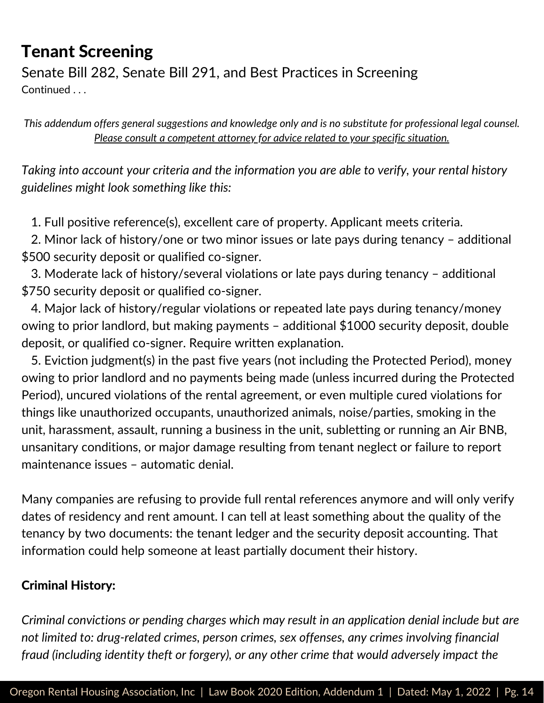Senate Bill 282, Senate Bill 291, and Best Practices in Screening Continued . . .

*This addendum offers general suggestions and knowledge only and is no substitute for professional legal counsel. Please consult a competent attorney for advice related to your specific situation.*

*Taking into account your criteria and the information you are able to verify, your rental history guidelines might look something like this:*

1. Full positive reference(s), excellent care of property. Applicant meets criteria.

2. Minor lack of history/one or two minor issues or late pays during tenancy – additional \$500 security deposit or qualified co-signer.

3. Moderate lack of history/several violations or late pays during tenancy – additional \$750 security deposit or qualified co-signer.

4. Major lack of history/regular violations or repeated late pays during tenancy/money owing to prior landlord, but making payments – additional \$1000 security deposit, double deposit, or qualified co-signer. Require written explanation.

5. Eviction judgment(s) in the past five years (not including the Protected Period), money owing to prior landlord and no payments being made (unless incurred during the Protected Period), uncured violations of the rental agreement, or even multiple cured violations for things like unauthorized occupants, unauthorized animals, noise/parties, smoking in the unit, harassment, assault, running a business in the unit, subletting or running an Air BNB, unsanitary conditions, or major damage resulting from tenant neglect or failure to report maintenance issues – automatic denial.

Many companies are refusing to provide full rental references anymore and will only verify dates of residency and rent amount. I can tell at least something about the quality of the tenancy by two documents: the tenant ledger and the security deposit accounting. That information could help someone at least partially document their history.

#### Criminal History:

*Criminal convictions or pending charges which may result in an application denial include but are not limited to: drug-related crimes, person crimes, sex offenses, any crimes involving financial fraud (including identity theft or forgery), or any other crime that would adversely impact the*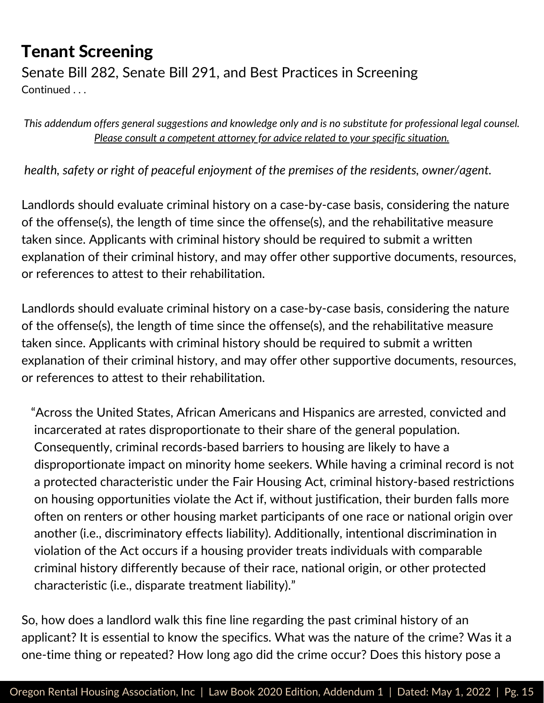Senate Bill 282, Senate Bill 291, and Best Practices in Screening Continued . . .

*This addendum offers general suggestions and knowledge only and is no substitute for professional legal counsel. Please consult a competent attorney for advice related to your specific situation.*

*health, safety or right of peaceful enjoyment of the premises of the residents, owner/agent.*

Landlords should evaluate criminal history on a case-by-case basis, considering the nature of the offense(s), the length of time since the offense(s), and the rehabilitative measure taken since. Applicants with criminal history should be required to submit a written explanation of their criminal history, and may offer other supportive documents, resources, or references to attest to their rehabilitation.

Landlords should evaluate criminal history on a case-by-case basis, considering the nature of the offense(s), the length of time since the offense(s), and the rehabilitative measure taken since. Applicants with criminal history should be required to submit a written explanation of their criminal history, and may offer other supportive documents, resources, or references to attest to their rehabilitation.

"Across the United States, African Americans and Hispanics are arrested, convicted and incarcerated at rates disproportionate to their share of the general population. Consequently, criminal records-based barriers to housing are likely to have a disproportionate impact on minority home seekers. While having a criminal record is not a protected characteristic under the Fair Housing Act, criminal history-based restrictions on housing opportunities violate the Act if, without justification, their burden falls more often on renters or other housing market participants of one race or national origin over another (i.e., discriminatory effects liability). Additionally, intentional discrimination in violation of the Act occurs if a housing provider treats individuals with comparable criminal history differently because of their race, national origin, or other protected characteristic (i.e., disparate treatment liability)."

So, how does a landlord walk this fine line regarding the past criminal history of an applicant? It is essential to know the specifics. What was the nature of the crime? Was it a one-time thing or repeated? How long ago did the crime occur? Does this history pose a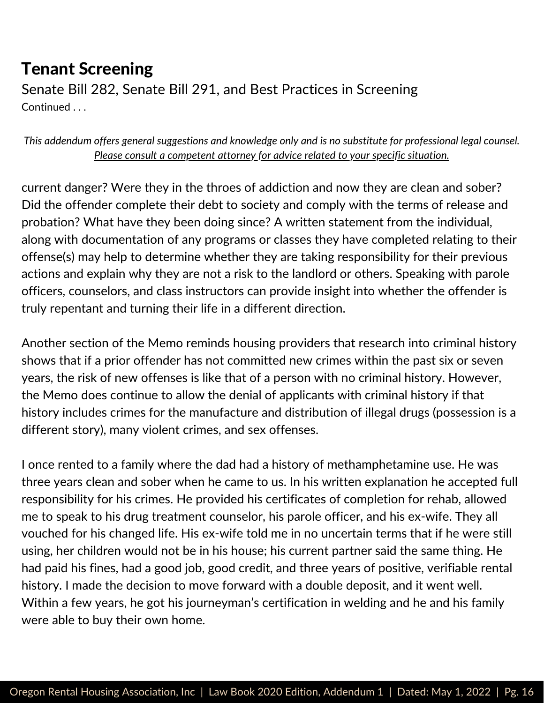Senate Bill 282, Senate Bill 291, and Best Practices in Screening Continued . . .

*This addendum offers general suggestions and knowledge only and is no substitute for professional legal counsel. Please consult a competent attorney for advice related to your specific situation.*

current danger? Were they in the throes of addiction and now they are clean and sober? Did the offender complete their debt to society and comply with the terms of release and probation? What have they been doing since? A written statement from the individual, along with documentation of any programs or classes they have completed relating to their offense(s) may help to determine whether they are taking responsibility for their previous actions and explain why they are not a risk to the landlord or others. Speaking with parole officers, counselors, and class instructors can provide insight into whether the offender is truly repentant and turning their life in a different direction.

Another section of the Memo reminds housing providers that research into criminal history shows that if a prior offender has not committed new crimes within the past six or seven years, the risk of new offenses is like that of a person with no criminal history. However, the Memo does continue to allow the denial of applicants with criminal history if that history includes crimes for the manufacture and distribution of illegal drugs (possession is a different story), many violent crimes, and sex offenses.

I once rented to a family where the dad had a history of methamphetamine use. He was three years clean and sober when he came to us. In his written explanation he accepted full responsibility for his crimes. He provided his certificates of completion for rehab, allowed me to speak to his drug treatment counselor, his parole officer, and his ex-wife. They all vouched for his changed life. His ex-wife told me in no uncertain terms that if he were still using, her children would not be in his house; his current partner said the same thing. He had paid his fines, had a good job, good credit, and three years of positive, verifiable rental history. I made the decision to move forward with a double deposit, and it went well. Within a few years, he got his journeyman's certification in welding and he and his family were able to buy their own home.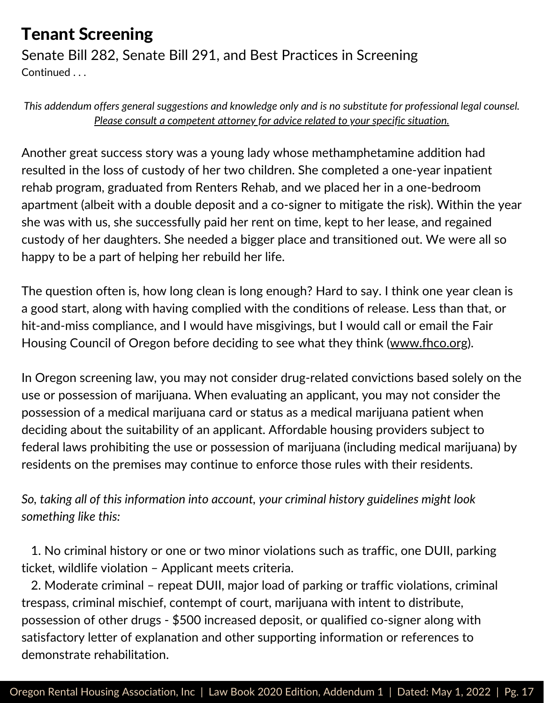Senate Bill 282, Senate Bill 291, and Best Practices in Screening Continued . . .

*This addendum offers general suggestions and knowledge only and is no substitute for professional legal counsel. Please consult a competent attorney for advice related to your specific situation.*

Another great success story was a young lady whose methamphetamine addition had resulted in the loss of custody of her two children. She completed a one-year inpatient rehab program, graduated from Renters Rehab, and we placed her in a one-bedroom apartment (albeit with a double deposit and a co-signer to mitigate the risk). Within the year she was with us, she successfully paid her rent on time, kept to her lease, and regained custody of her daughters. She needed a bigger place and transitioned out. We were all so happy to be a part of helping her rebuild her life.

The question often is, how long clean is long enough? Hard to say. I think one year clean is a good start, along with having complied with the conditions of release. Less than that, or hit-and-miss compliance, and I would have misgivings, but I would call or email the Fair Housing Council of Oregon before deciding to see what they think [\(www.fhco.org\)](http://www.fhco.org/).

In Oregon screening law, you may not consider drug-related convictions based solely on the use or possession of marijuana. When evaluating an applicant, you may not consider the possession of a medical marijuana card or status as a medical marijuana patient when deciding about the suitability of an applicant. Affordable housing providers subject to federal laws prohibiting the use or possession of marijuana (including medical marijuana) by residents on the premises may continue to enforce those rules with their residents.

*So, taking all of this information into account, your criminal history guidelines might look something like this:*

1. No criminal history or one or two minor violations such as traffic, one DUII, parking ticket, wildlife violation – Applicant meets criteria.

2. Moderate criminal – repeat DUII, major load of parking or traffic violations, criminal trespass, criminal mischief, contempt of court, marijuana with intent to distribute, possession of other drugs - \$500 increased deposit, or qualified co-signer along with satisfactory letter of explanation and other supporting information or references to demonstrate rehabilitation.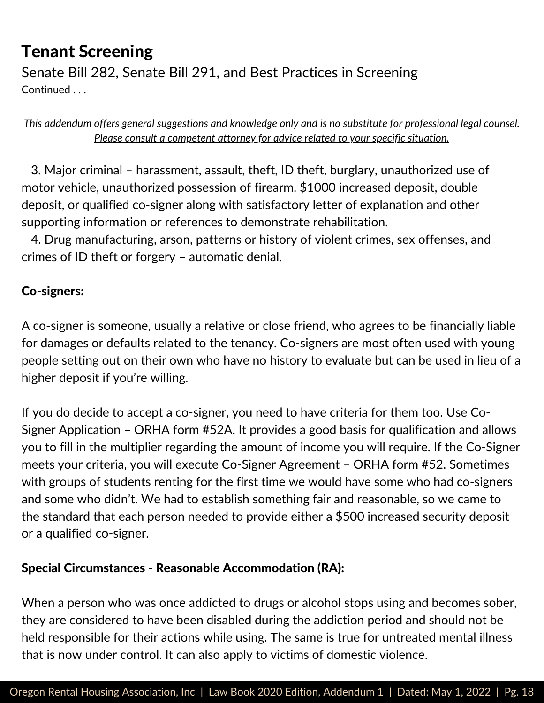Senate Bill 282, Senate Bill 291, and Best Practices in Screening Continued . . .

*This addendum offers general suggestions and knowledge only and is no substitute for professional legal counsel. Please consult a competent attorney for advice related to your specific situation.*

3. Major criminal – harassment, assault, theft, ID theft, burglary, unauthorized use of motor vehicle, unauthorized possession of firearm. \$1000 increased deposit, double deposit, or qualified co-signer along with satisfactory letter of explanation and other supporting information or references to demonstrate rehabilitation.

4. Drug manufacturing, arson, patterns or history of violent crimes, sex offenses, and crimes of ID theft or forgery – automatic denial.

#### Co-signers:

A co-signer is someone, usually a relative or close friend, who agrees to be financially liable for damages or defaults related to the tenancy. Co-signers are most often used with young people setting out on their own who have no history to evaluate but can be used in lieu of a higher deposit if you're willing.

If you do decide to accept a co-signer, you need to have criteria for them too. Use CoSigner Application – ORHA form #52A. It provides a good basis for [qualification](https://store.oregonrentalhousing.com/) and allows you to fill in the multiplier regarding the amount of income you will require. If the Co-Signer meets your criteria, you will execute Co-Signer [Agreement](https://store.oregonrentalhousing.com/) - ORHA form #52. Sometimes with groups of students renting for the first time we would have some who had co-signers and some who didn't. We had to establish something fair and reasonable, so we came to the standard that each person needed to provide either a \$500 increased security deposit or a qualified co-signer.

#### Special Circumstances - Reasonable Accommodation (RA):

When a person who was once addicted to drugs or alcohol stops using and becomes sober, they are considered to have been disabled during the addiction period and should not be held responsible for their actions while using. The same is true for untreated mental illness that is now under control. It can also apply to victims of domestic violence.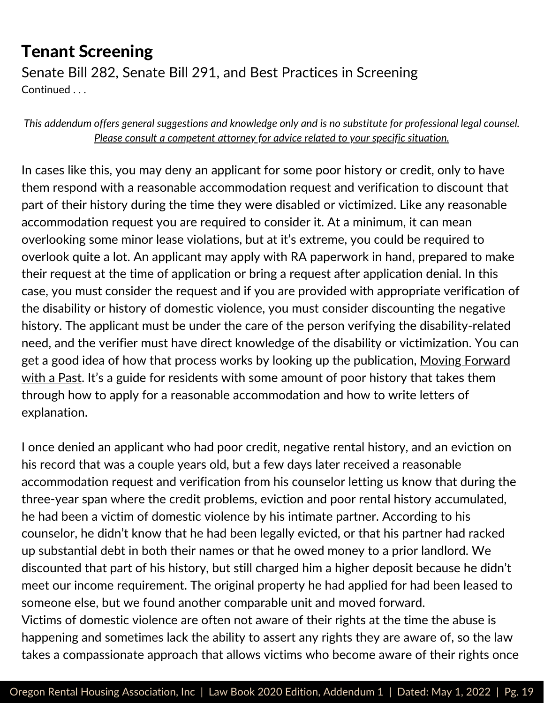Senate Bill 282, Senate Bill 291, and Best Practices in Screening Continued . . .

*This addendum offers general suggestions and knowledge only and is no substitute for professional legal counsel. Please consult a competent attorney for advice related to your specific situation.*

In cases like this, you may deny an applicant for some poor history or credit, only to have them respond with a reasonable accommodation request and verification to discount that part of their history during the time they were disabled or victimized. Like any reasonable accommodation request you are required to consider it. At a minimum, it can mean overlooking some minor lease violations, but at it's extreme, you could be required to overlook quite a lot. An applicant may apply with RA paperwork in hand, prepared to make their request at the time of application or bring a request after application denial. In this case, you must consider the request and if you are provided with appropriate verification of the disability or history of domestic violence, you must consider discounting the negative history. The applicant must be under the care of the person verifying the disability-related need, and the verifier must have direct knowledge of the disability or victimization. You can get a good idea of how that process works by looking up the [publication,](https://oregonlawhelp.org/resource/moving-forward-with-a-past?utm_source=lh_rss) Moving Forward with a Past. It's a guide for residents with some amount of poor history that takes them through how to apply for a reasonable accommodation and how to write letters of explanation.

I once denied an applicant who had poor credit, negative rental history, and an eviction on his record that was a couple years old, but a few days later received a reasonable accommodation request and verification from his counselor letting us know that during the three-year span where the credit problems, eviction and poor rental history accumulated, he had been a victim of domestic violence by his intimate partner. According to his counselor, he didn't know that he had been legally evicted, or that his partner had racked up substantial debt in both their names or that he owed money to a prior landlord. We discounted that part of his history, but still charged him a higher deposit because he didn't meet our income requirement. The original property he had applied for had been leased to someone else, but we found another comparable unit and moved forward. Victims of domestic violence are often not aware of their rights at the time the abuse is happening and sometimes lack the ability to assert any rights they are aware of, so the law takes a compassionate approach that allows victims who become aware of their rights once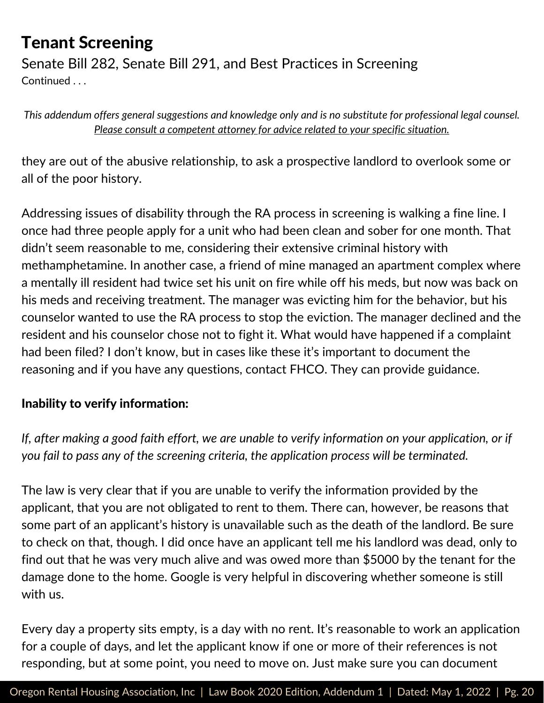Senate Bill 282, Senate Bill 291, and Best Practices in Screening Continued ...

*This addendum offers general suggestions and knowledge only and is no substitute for professional legal counsel. Please consult a competent attorney for advice related to your specific situation.*

they are out of the abusive relationship, to ask a prospective landlord to overlook some or all of the poor history.

Addressing issues of disability through the RA process in screening is walking a fine line. I once had three people apply for a unit who had been clean and sober for one month. That didn't seem reasonable to me, considering their extensive criminal history with methamphetamine. In another case, a friend of mine managed an apartment complex where a mentally ill resident had twice set his unit on fire while off his meds, but now was back on his meds and receiving treatment. The manager was evicting him for the behavior, but his counselor wanted to use the RA process to stop the eviction. The manager declined and the resident and his counselor chose not to fight it. What would have happened if a complaint had been filed? I don't know, but in cases like these it's important to document the reasoning and if you have any questions, contact FHCO. They can provide guidance.

#### Inability to verify information:

If, after making a good faith effort, we are unable to verify information on your application, or if *you fail to pass any of the screening criteria, the application process will be terminated.*

The law is very clear that if you are unable to verify the information provided by the applicant, that you are not obligated to rent to them. There can, however, be reasons that some part of an applicant's history is unavailable such as the death of the landlord. Be sure to check on that, though. I did once have an applicant tell me his landlord was dead, only to find out that he was very much alive and was owed more than \$5000 by the tenant for the damage done to the home. Google is very helpful in discovering whether someone is still with us.

Every day a property sits empty, is a day with no rent. It's reasonable to work an application for a couple of days, and let the applicant know if one or more of their references is not responding, but at some point, you need to move on. Just make sure you can document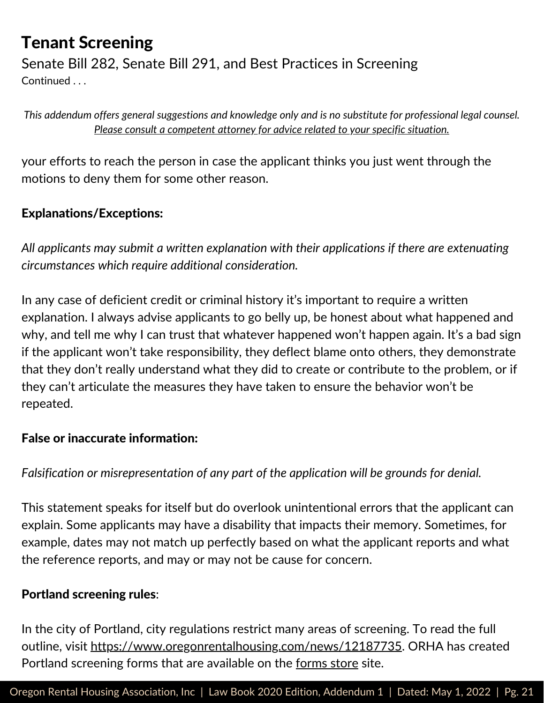Senate Bill 282, Senate Bill 291, and Best Practices in Screening Continued ...

*This addendum offers general suggestions and knowledge only and is no substitute for professional legal counsel. Please consult a competent attorney for advice related to your specific situation.*

your efforts to reach the person in case the applicant thinks you just went through the motions to deny them for some other reason.

#### Explanations/Exceptions:

*All applicants may submit a written explanation with their applications if there are extenuating circumstances which require additional consideration.*

In any case of deficient credit or criminal history it's important to require a written explanation. I always advise applicants to go belly up, be honest about what happened and why, and tell me why I can trust that whatever happened won't happen again. It's a bad sign if the applicant won't take responsibility, they deflect blame onto others, they demonstrate that they don't really understand what they did to create or contribute to the problem, or if they can't articulate the measures they have taken to ensure the behavior won't be repeated.

#### False or inaccurate information:

*Falsification or misrepresentation of any part of the application will be grounds for denial.*

This statement speaks for itself but do overlook unintentional errors that the applicant can explain. Some applicants may have a disability that impacts their memory. Sometimes, for example, dates may not match up perfectly based on what the applicant reports and what the reference reports, and may or may not be cause for concern.

#### Portland [screening](https://www.oregonrentalhousing.com/news/12187735) rules:

In the city of Portland, city regulations restrict many areas of screening. To read the full outline, [v](https://www.oregonrentalhousing.com/news/12187735)isit <https://www.oregonrentalhousing.com/news/12187735>. ORHA has created Portland screening [forms](https://store.oregonrentalhousing.com/) that are available on the <u>forms store</u> site.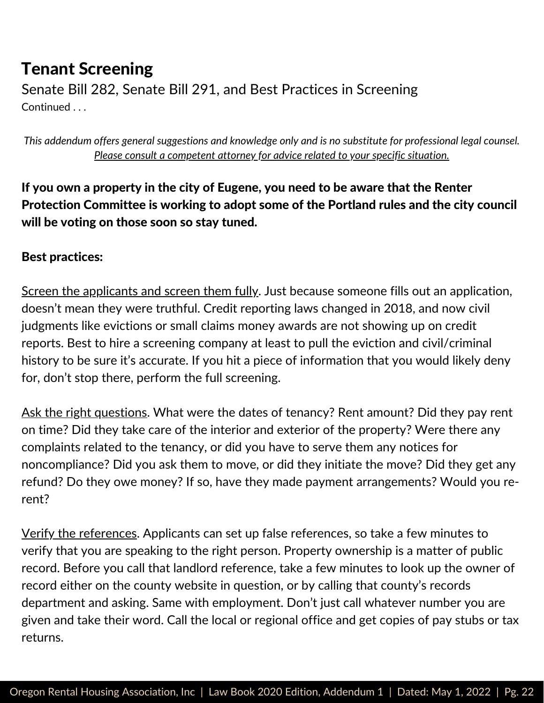Senate Bill 282, Senate Bill 291, and Best Practices in Screening Continued . . .

*This addendum offers general suggestions and knowledge only and is no substitute for professional legal counsel. Please consult a competent attorney for advice related to your specific situation.*

If you own a property in the city of Eugene, you need to be aware that the Renter Protection Committee is working to adopt some of the Portland rules and the city council will be voting on those soon so stay tuned.

#### Best practices:

Screen the applicants and screen them fully. Just because someone fills out an application, doesn't mean they were truthful. Credit reporting laws changed in 2018, and now civil judgments like evictions or small claims money awards are not showing up on credit reports. Best to hire a screening company at least to pull the eviction and civil/criminal history to be sure it's accurate. If you hit a piece of information that you would likely deny for, don't stop there, perform the full screening.

Ask the right questions. What were the dates of tenancy? Rent amount? Did they pay rent on time? Did they take care of the interior and exterior of the property? Were there any complaints related to the tenancy, or did you have to serve them any notices for noncompliance? Did you ask them to move, or did they initiate the move? Did they get any refund? Do they owe money? If so, have they made payment arrangements? Would you rerent?

Verify the references. Applicants can set up false references, so take a few minutes to verify that you are speaking to the right person. Property ownership is a matter of public record. Before you call that landlord reference, take a few minutes to look up the owner of record either on the county website in question, or by calling that county's records department and asking. Same with employment. Don't just call whatever number you are given and take their word. Call the local or regional office and get copies of pay stubs or tax returns.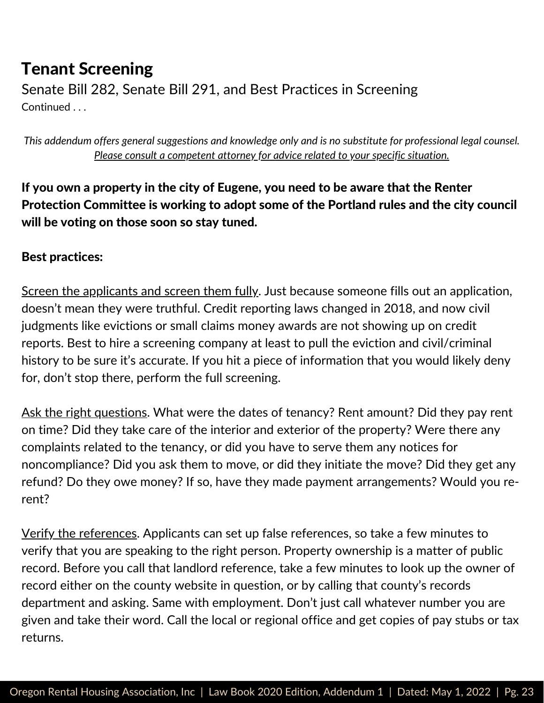Senate Bill 282, Senate Bill 291, and Best Practices in Screening Continued . . .

*This addendum offers general suggestions and knowledge only and is no substitute for professional legal counsel. Please consult a competent attorney for advice related to your specific situation.*

If you own a property in the city of Eugene, you need to be aware that the Renter Protection Committee is working to adopt some of the Portland rules and the city council will be voting on those soon so stay tuned.

#### Best practices:

Screen the applicants and screen them fully. Just because someone fills out an application, doesn't mean they were truthful. Credit reporting laws changed in 2018, and now civil judgments like evictions or small claims money awards are not showing up on credit reports. Best to hire a screening company at least to pull the eviction and civil/criminal history to be sure it's accurate. If you hit a piece of information that you would likely deny for, don't stop there, perform the full screening.

Ask the right questions. What were the dates of tenancy? Rent amount? Did they pay rent on time? Did they take care of the interior and exterior of the property? Were there any complaints related to the tenancy, or did you have to serve them any notices for noncompliance? Did you ask them to move, or did they initiate the move? Did they get any refund? Do they owe money? If so, have they made payment arrangements? Would you rerent?

Verify the references. Applicants can set up false references, so take a few minutes to verify that you are speaking to the right person. Property ownership is a matter of public record. Before you call that landlord reference, take a few minutes to look up the owner of record either on the county website in question, or by calling that county's records department and asking. Same with employment. Don't just call whatever number you are given and take their word. Call the local or regional office and get copies of pay stubs or tax returns.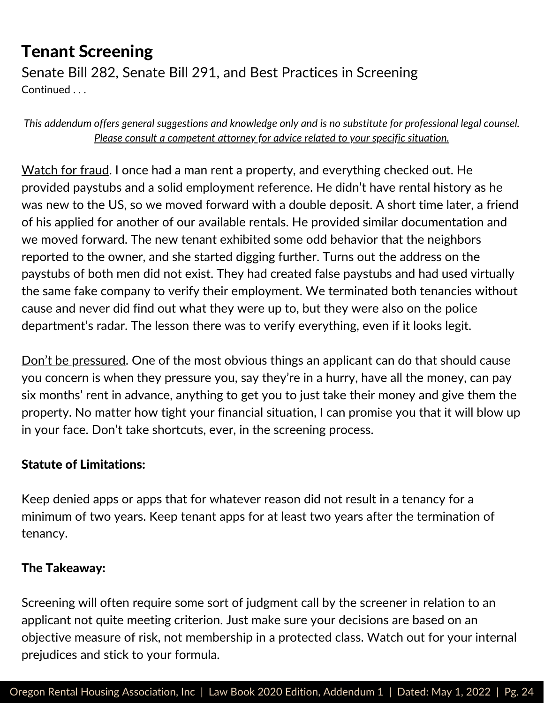Senate Bill 282, Senate Bill 291, and Best Practices in Screening Continued . . .

*This addendum offers general suggestions and knowledge only and is no substitute for professional legal counsel. Please consult a competent attorney for advice related to your specific situation.*

Watch for fraud. I once had a man rent a property, and everything checked out. He provided paystubs and a solid employment reference. He didn't have rental history as he was new to the US, so we moved forward with a double deposit. A short time later, a friend of his applied for another of our available rentals. He provided similar documentation and we moved forward. The new tenant exhibited some odd behavior that the neighbors reported to the owner, and she started digging further. Turns out the address on the paystubs of both men did not exist. They had created false paystubs and had used virtually the same fake company to verify their employment. We terminated both tenancies without cause and never did find out what they were up to, but they were also on the police department's radar. The lesson there was to verify everything, even if it looks legit.

Don't be pressured. One of the most obvious things an applicant can do that should cause you concern is when they pressure you, say they're in a hurry, have all the money, can pay six months' rent in advance, anything to get you to just take their money and give them the property. No matter how tight your financial situation, I can promise you that it will blow up in your face. Don't take shortcuts, ever, in the screening process.

#### Statute of Limitations:

Keep denied apps or apps that for whatever reason did not result in a tenancy for a minimum of two years. Keep tenant apps for at least two years after the termination of tenancy.

#### The Takeaway:

Screening will often require some sort of judgment call by the screener in relation to an applicant not quite meeting criterion. Just make sure your decisions are based on an objective measure of risk, not membership in a protected class. Watch out for your internal prejudices and stick to your formula.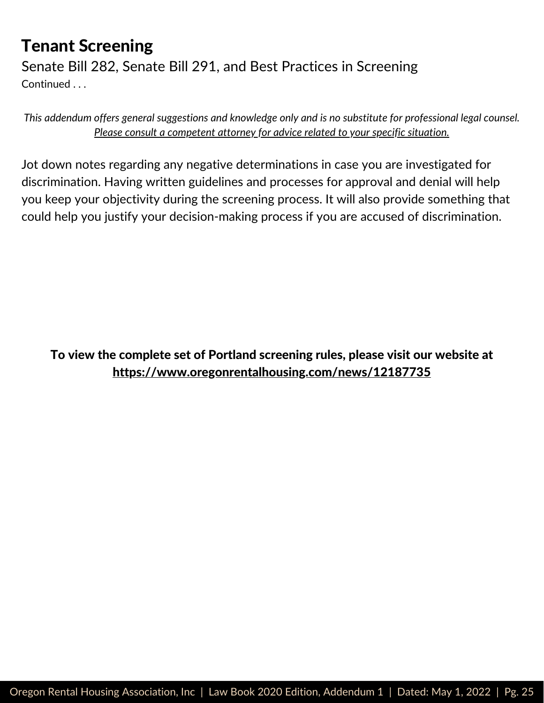Senate Bill 282, Senate Bill 291, and Best Practices in Screening Continued . . .

*This addendum offers general suggestions and knowledge only and is no substitute for professional legal counsel. Please consult a competent attorney for advice related to your specific situation.*

Jot down notes regarding any negative determinations in case you are investigated for discrimination. Having written guidelines and processes for approval and denial will help you keep your objectivity during the screening process. It will also provide something that could help you justify your decision-making process if you are accused of discrimination.

To view the complete set of Portland screening rules, please visit our website at <https://www.oregonrentalhousing.com/news/12187735>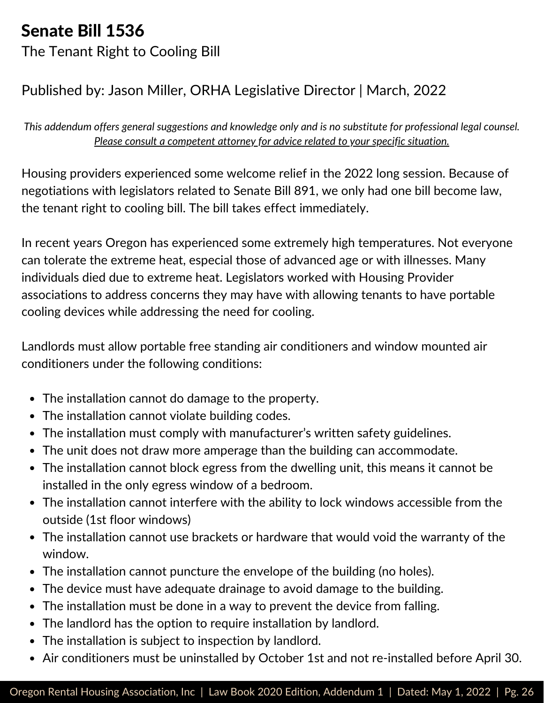# Senate Bill 1536

The Tenant Right to Cooling Bill

#### Published by: Jason Miller, ORHA Legislative Director | March, 2022

*This addendum offers general suggestions and knowledge only and is no substitute for professional legal counsel. Please consult a competent attorney for advice related to your specific situation.*

Housing providers experienced some welcome relief in the 2022 long session. Because of negotiations with legislators related to Senate Bill 891, we only had one bill become law, the tenant right to cooling bill. The bill takes effect immediately.

In recent years Oregon has experienced some extremely high temperatures. Not everyone can tolerate the extreme heat, especial those of advanced age or with illnesses. Many individuals died due to extreme heat. Legislators worked with Housing Provider associations to address concerns they may have with allowing tenants to have portable cooling devices while addressing the need for cooling.

Landlords must allow portable free standing air conditioners and window mounted air conditioners under the following conditions:

- The installation cannot do damage to the property.
- The installation cannot violate building codes.
- The installation must comply with manufacturer's written safety guidelines.
- The unit does not draw more amperage than the building can accommodate.
- The installation cannot block egress from the dwelling unit, this means it cannot be installed in the only egress window of a bedroom.
- The installation cannot interfere with the ability to lock windows accessible from the outside (1st floor windows)
- The installation cannot use brackets or hardware that would void the warranty of the window.
- The installation cannot puncture the envelope of the building (no holes).
- The device must have adequate drainage to avoid damage to the building.
- The installation must be done in a way to prevent the device from falling.
- The landlord has the option to require installation by landlord.
- The installation is subject to inspection by landlord.
- Air conditioners must be uninstalled by October 1st and not re-installed before April 30.